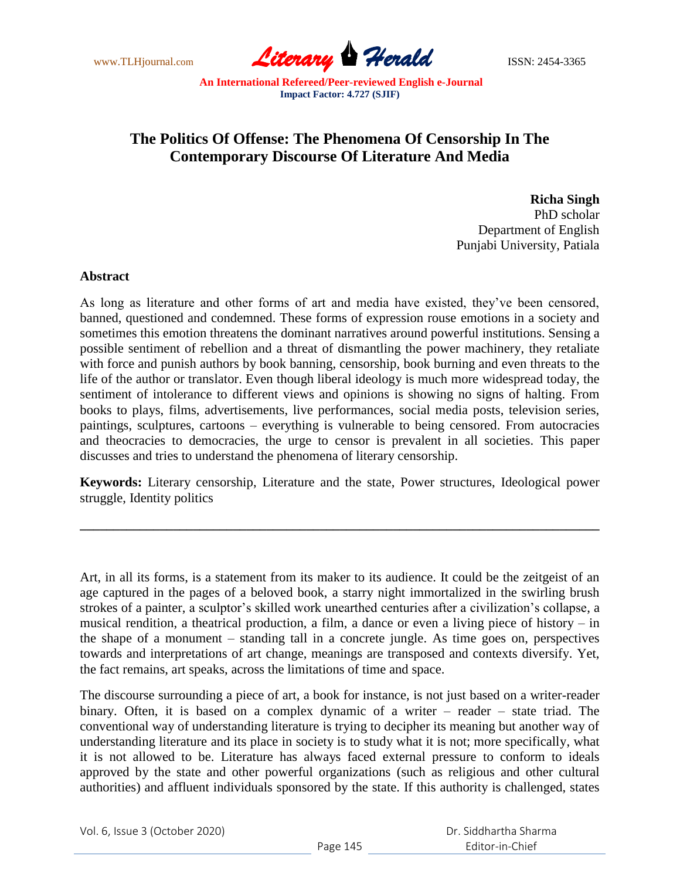www.TLHjournal.com **Literary Herald** ISSN: 2454-3365

## **The Politics Of Offense: The Phenomena Of Censorship In The Contemporary Discourse Of Literature And Media**

**Richa Singh** PhD scholar Department of English Punjabi University, Patiala

## **Abstract**

As long as literature and other forms of art and media have existed, they"ve been censored, banned, questioned and condemned. These forms of expression rouse emotions in a society and sometimes this emotion threatens the dominant narratives around powerful institutions. Sensing a possible sentiment of rebellion and a threat of dismantling the power machinery, they retaliate with force and punish authors by book banning, censorship, book burning and even threats to the life of the author or translator. Even though liberal ideology is much more widespread today, the sentiment of intolerance to different views and opinions is showing no signs of halting. From books to plays, films, advertisements, live performances, social media posts, television series, paintings, sculptures, cartoons – everything is vulnerable to being censored. From autocracies and theocracies to democracies, the urge to censor is prevalent in all societies. This paper discusses and tries to understand the phenomena of literary censorship.

**Keywords:** Literary censorship, Literature and the state, Power structures, Ideological power struggle, Identity politics

**\_\_\_\_\_\_\_\_\_\_\_\_\_\_\_\_\_\_\_\_\_\_\_\_\_\_\_\_\_\_\_\_\_\_\_\_\_\_\_\_\_\_\_\_\_\_\_\_\_\_\_\_\_\_\_\_\_\_\_\_\_\_\_\_\_\_\_\_\_\_\_\_\_\_\_\_\_\_**

Art, in all its forms, is a statement from its maker to its audience. It could be the zeitgeist of an age captured in the pages of a beloved book, a starry night immortalized in the swirling brush strokes of a painter, a sculptor's skilled work unearthed centuries after a civilization's collapse, a musical rendition, a theatrical production, a film, a dance or even a living piece of history – in the shape of a monument – standing tall in a concrete jungle. As time goes on, perspectives towards and interpretations of art change, meanings are transposed and contexts diversify. Yet, the fact remains, art speaks, across the limitations of time and space.

The discourse surrounding a piece of art, a book for instance, is not just based on a writer-reader binary. Often, it is based on a complex dynamic of a writer – reader – state triad. The conventional way of understanding literature is trying to decipher its meaning but another way of understanding literature and its place in society is to study what it is not; more specifically, what it is not allowed to be. Literature has always faced external pressure to conform to ideals approved by the state and other powerful organizations (such as religious and other cultural authorities) and affluent individuals sponsored by the state. If this authority is challenged, states

Vol. 6, Issue 3 (October 2020)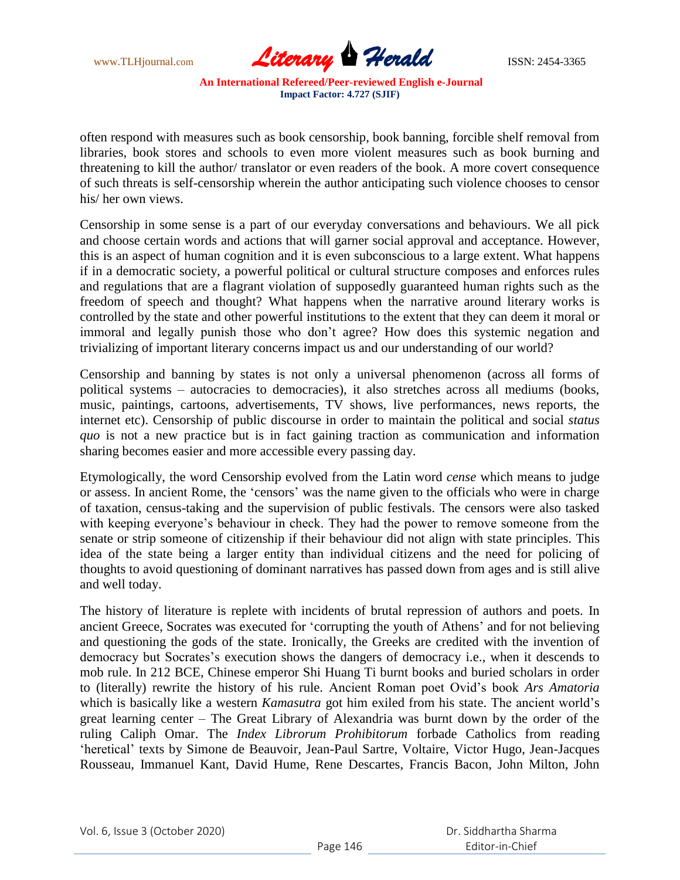

often respond with measures such as book censorship, book banning, forcible shelf removal from libraries, book stores and schools to even more violent measures such as book burning and threatening to kill the author/ translator or even readers of the book. A more covert consequence of such threats is self-censorship wherein the author anticipating such violence chooses to censor his/ her own views.

Censorship in some sense is a part of our everyday conversations and behaviours. We all pick and choose certain words and actions that will garner social approval and acceptance. However, this is an aspect of human cognition and it is even subconscious to a large extent. What happens if in a democratic society, a powerful political or cultural structure composes and enforces rules and regulations that are a flagrant violation of supposedly guaranteed human rights such as the freedom of speech and thought? What happens when the narrative around literary works is controlled by the state and other powerful institutions to the extent that they can deem it moral or immoral and legally punish those who don"t agree? How does this systemic negation and trivializing of important literary concerns impact us and our understanding of our world?

Censorship and banning by states is not only a universal phenomenon (across all forms of political systems – autocracies to democracies), it also stretches across all mediums (books, music, paintings, cartoons, advertisements, TV shows, live performances, news reports, the internet etc). Censorship of public discourse in order to maintain the political and social *status quo* is not a new practice but is in fact gaining traction as communication and information sharing becomes easier and more accessible every passing day.

Etymologically, the word Censorship evolved from the Latin word *cense* which means to judge or assess. In ancient Rome, the "censors" was the name given to the officials who were in charge of taxation, census-taking and the supervision of public festivals. The censors were also tasked with keeping everyone's behaviour in check. They had the power to remove someone from the senate or strip someone of citizenship if their behaviour did not align with state principles. This idea of the state being a larger entity than individual citizens and the need for policing of thoughts to avoid questioning of dominant narratives has passed down from ages and is still alive and well today.

The history of literature is replete with incidents of brutal repression of authors and poets. In ancient Greece, Socrates was executed for "corrupting the youth of Athens" and for not believing and questioning the gods of the state. Ironically, the Greeks are credited with the invention of democracy but Socrates's execution shows the dangers of democracy i.e., when it descends to mob rule. In 212 BCE, Chinese emperor Shi Huang Ti burnt books and buried scholars in order to (literally) rewrite the history of his rule. Ancient Roman poet Ovid"s book *Ars Amatoria*  which is basically like a western *Kamasutra* got him exiled from his state. The ancient world"s great learning center – The Great Library of Alexandria was burnt down by the order of the ruling Caliph Omar. The *Index Librorum Prohibitorum* forbade Catholics from reading 'heretical' texts by Simone de Beauvoir, Jean-Paul Sartre, Voltaire, Victor Hugo, Jean-Jacques Rousseau, Immanuel Kant, David Hume, Rene Descartes, Francis Bacon, John Milton, John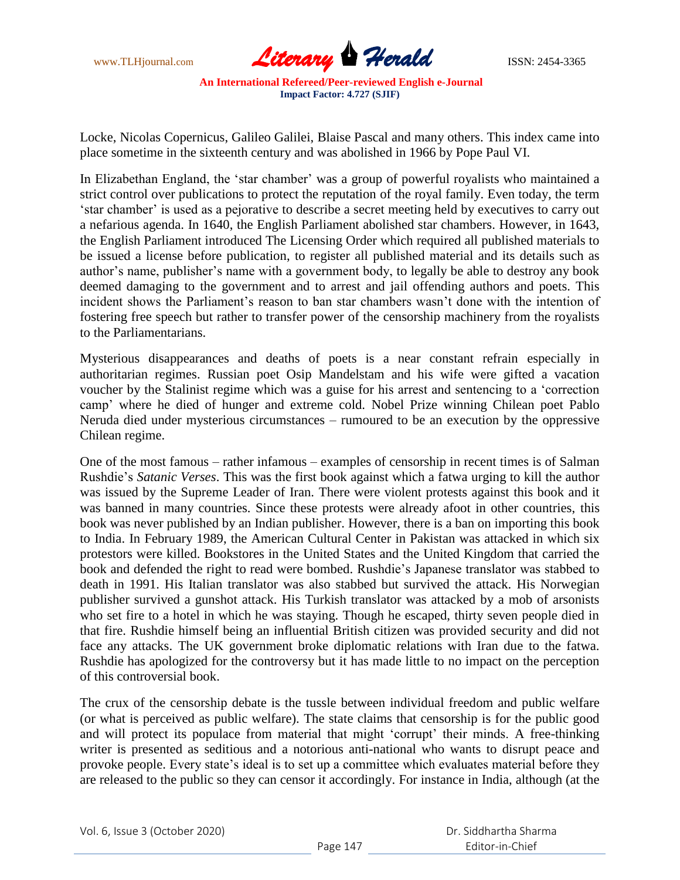

Locke, Nicolas Copernicus, Galileo Galilei, Blaise Pascal and many others. This index came into place sometime in the sixteenth century and was abolished in 1966 by Pope Paul VI.

In Elizabethan England, the 'star chamber' was a group of powerful royalists who maintained a strict control over publications to protect the reputation of the royal family. Even today, the term "star chamber" is used as a pejorative to describe a secret meeting held by executives to carry out a nefarious agenda. In 1640, the English Parliament abolished star chambers. However, in 1643, the English Parliament introduced The Licensing Order which required all published materials to be issued a license before publication, to register all published material and its details such as author"s name, publisher"s name with a government body, to legally be able to destroy any book deemed damaging to the government and to arrest and jail offending authors and poets. This incident shows the Parliament's reason to ban star chambers wasn't done with the intention of fostering free speech but rather to transfer power of the censorship machinery from the royalists to the Parliamentarians.

Mysterious disappearances and deaths of poets is a near constant refrain especially in authoritarian regimes. Russian poet Osip Mandelstam and his wife were gifted a vacation voucher by the Stalinist regime which was a guise for his arrest and sentencing to a "correction camp" where he died of hunger and extreme cold. Nobel Prize winning Chilean poet Pablo Neruda died under mysterious circumstances – rumoured to be an execution by the oppressive Chilean regime.

One of the most famous – rather infamous – examples of censorship in recent times is of Salman Rushdie"s *Satanic Verses*. This was the first book against which a fatwa urging to kill the author was issued by the Supreme Leader of Iran. There were violent protests against this book and it was banned in many countries. Since these protests were already afoot in other countries, this book was never published by an Indian publisher. However, there is a ban on importing this book to India. In February 1989, the American Cultural Center in Pakistan was attacked in which six protestors were killed. Bookstores in the United States and the United Kingdom that carried the book and defended the right to read were bombed. Rushdie's Japanese translator was stabbed to death in 1991. His Italian translator was also stabbed but survived the attack. His Norwegian publisher survived a gunshot attack. His Turkish translator was attacked by a mob of arsonists who set fire to a hotel in which he was staying. Though he escaped, thirty seven people died in that fire. Rushdie himself being an influential British citizen was provided security and did not face any attacks. The UK government broke diplomatic relations with Iran due to the fatwa. Rushdie has apologized for the controversy but it has made little to no impact on the perception of this controversial book.

The crux of the censorship debate is the tussle between individual freedom and public welfare (or what is perceived as public welfare). The state claims that censorship is for the public good and will protect its populace from material that might 'corrupt' their minds. A free-thinking writer is presented as seditious and a notorious anti-national who wants to disrupt peace and provoke people. Every state"s ideal is to set up a committee which evaluates material before they are released to the public so they can censor it accordingly. For instance in India, although (at the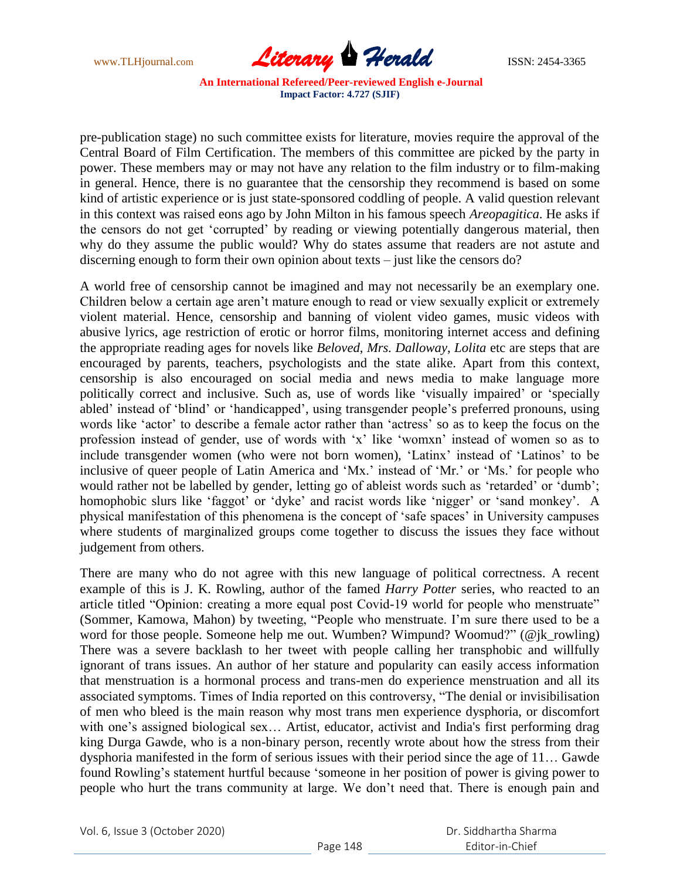

pre-publication stage) no such committee exists for literature, movies require the approval of the Central Board of Film Certification. The members of this committee are picked by the party in power. These members may or may not have any relation to the film industry or to film-making in general. Hence, there is no guarantee that the censorship they recommend is based on some kind of artistic experience or is just state-sponsored coddling of people. A valid question relevant in this context was raised eons ago by John Milton in his famous speech *Areopagitica*. He asks if the censors do not get "corrupted" by reading or viewing potentially dangerous material, then why do they assume the public would? Why do states assume that readers are not astute and discerning enough to form their own opinion about texts – just like the censors do?

A world free of censorship cannot be imagined and may not necessarily be an exemplary one. Children below a certain age aren"t mature enough to read or view sexually explicit or extremely violent material. Hence, censorship and banning of violent video games, music videos with abusive lyrics, age restriction of erotic or horror films, monitoring internet access and defining the appropriate reading ages for novels like *Beloved*, *Mrs. Dalloway*, *Lolita* etc are steps that are encouraged by parents, teachers, psychologists and the state alike. Apart from this context, censorship is also encouraged on social media and news media to make language more politically correct and inclusive. Such as, use of words like "visually impaired" or "specially abled' instead of 'blind' or 'handicapped', using transgender people's preferred pronouns, using words like 'actor' to describe a female actor rather than 'actress' so as to keep the focus on the profession instead of gender, use of words with "x" like "womxn" instead of women so as to include transgender women (who were not born women), "Latinx" instead of "Latinos" to be inclusive of queer people of Latin America and "Mx." instead of "Mr." or "Ms." for people who would rather not be labelled by gender, letting go of ableist words such as 'retarded' or 'dumb'; homophobic slurs like 'faggot' or 'dyke' and racist words like 'nigger' or 'sand monkey'. A physical manifestation of this phenomena is the concept of "safe spaces" in University campuses where students of marginalized groups come together to discuss the issues they face without judgement from others.

There are many who do not agree with this new language of political correctness. A recent example of this is J. K. Rowling, author of the famed *Harry Potter* series, who reacted to an article titled "Opinion: creating a more equal post Covid-19 world for people who menstruate" (Sommer, Kamowa, Mahon) by tweeting, "People who menstruate. I"m sure there used to be a word for those people. Someone help me out. Wumben? Wimpund? Woomud?" (@jk\_rowling) There was a severe backlash to her tweet with people calling her transphobic and willfully ignorant of trans issues. An author of her stature and popularity can easily access information that menstruation is a hormonal process and trans-men do experience menstruation and all its associated symptoms. Times of India reported on this controversy, "The denial or invisibilisation of men who bleed is the main reason why most trans men experience dysphoria, or discomfort with one's assigned biological sex... Artist, educator, activist and India's first performing drag king Durga Gawde, who is a non-binary person, recently wrote about how the stress from their dysphoria manifested in the form of serious issues with their period since the age of 11… Gawde found Rowling's statement hurtful because 'someone in her position of power is giving power to people who hurt the trans community at large. We don"t need that. There is enough pain and

Vol. 6, Issue 3 (October 2020)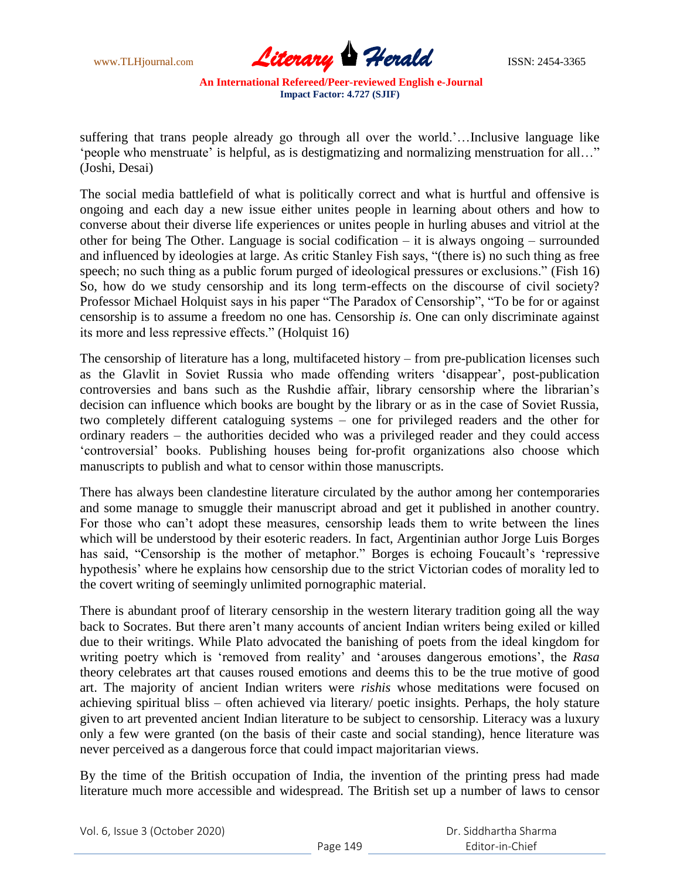

suffering that trans people already go through all over the world.'...Inclusive language like "people who menstruate" is helpful, as is destigmatizing and normalizing menstruation for all..." (Joshi, Desai)

The social media battlefield of what is politically correct and what is hurtful and offensive is ongoing and each day a new issue either unites people in learning about others and how to converse about their diverse life experiences or unites people in hurling abuses and vitriol at the other for being The Other. Language is social codification – it is always ongoing – surrounded and influenced by ideologies at large. As critic Stanley Fish says, "(there is) no such thing as free speech; no such thing as a public forum purged of ideological pressures or exclusions." (Fish 16) So, how do we study censorship and its long term-effects on the discourse of civil society? Professor Michael Holquist says in his paper "The Paradox of Censorship", "To be for or against censorship is to assume a freedom no one has. Censorship *is*. One can only discriminate against its more and less repressive effects." (Holquist 16)

The censorship of literature has a long, multifaceted history – from pre-publication licenses such as the Glavlit in Soviet Russia who made offending writers "disappear", post-publication controversies and bans such as the Rushdie affair, library censorship where the librarian"s decision can influence which books are bought by the library or as in the case of Soviet Russia, two completely different cataloguing systems – one for privileged readers and the other for ordinary readers – the authorities decided who was a privileged reader and they could access "controversial" books. Publishing houses being for-profit organizations also choose which manuscripts to publish and what to censor within those manuscripts.

There has always been clandestine literature circulated by the author among her contemporaries and some manage to smuggle their manuscript abroad and get it published in another country. For those who can"t adopt these measures, censorship leads them to write between the lines which will be understood by their esoteric readers. In fact, Argentinian author Jorge Luis Borges has said, "Censorship is the mother of metaphor." Borges is echoing Foucault's 'repressive hypothesis" where he explains how censorship due to the strict Victorian codes of morality led to the covert writing of seemingly unlimited pornographic material.

There is abundant proof of literary censorship in the western literary tradition going all the way back to Socrates. But there aren"t many accounts of ancient Indian writers being exiled or killed due to their writings. While Plato advocated the banishing of poets from the ideal kingdom for writing poetry which is "removed from reality" and "arouses dangerous emotions", the *Rasa*  theory celebrates art that causes roused emotions and deems this to be the true motive of good art. The majority of ancient Indian writers were *rishis* whose meditations were focused on achieving spiritual bliss – often achieved via literary/ poetic insights. Perhaps, the holy stature given to art prevented ancient Indian literature to be subject to censorship. Literacy was a luxury only a few were granted (on the basis of their caste and social standing), hence literature was never perceived as a dangerous force that could impact majoritarian views.

By the time of the British occupation of India, the invention of the printing press had made literature much more accessible and widespread. The British set up a number of laws to censor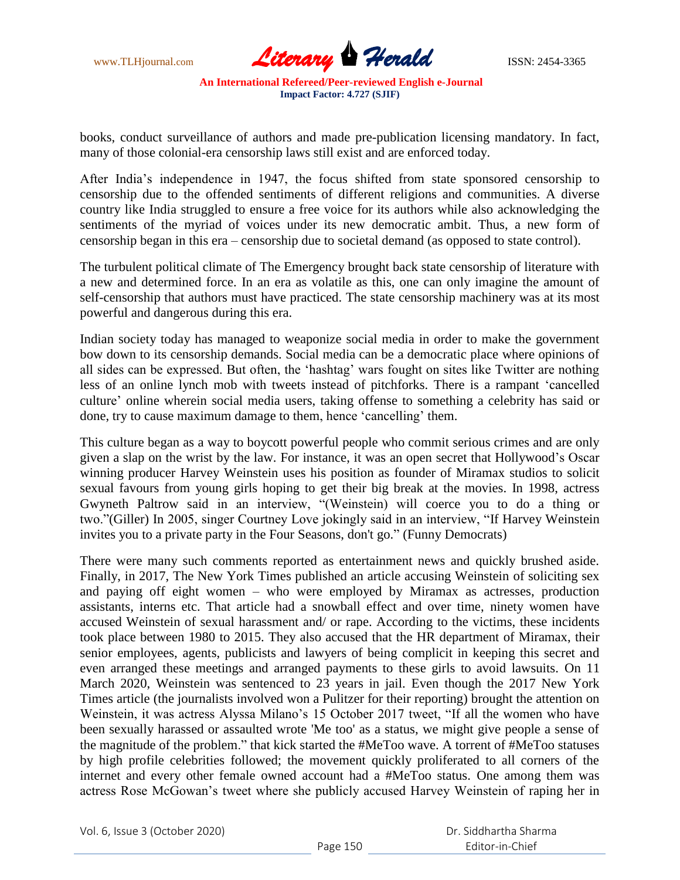

books, conduct surveillance of authors and made pre-publication licensing mandatory. In fact, many of those colonial-era censorship laws still exist and are enforced today.

After India"s independence in 1947, the focus shifted from state sponsored censorship to censorship due to the offended sentiments of different religions and communities. A diverse country like India struggled to ensure a free voice for its authors while also acknowledging the sentiments of the myriad of voices under its new democratic ambit. Thus, a new form of censorship began in this era – censorship due to societal demand (as opposed to state control).

The turbulent political climate of The Emergency brought back state censorship of literature with a new and determined force. In an era as volatile as this, one can only imagine the amount of self-censorship that authors must have practiced. The state censorship machinery was at its most powerful and dangerous during this era.

Indian society today has managed to weaponize social media in order to make the government bow down to its censorship demands. Social media can be a democratic place where opinions of all sides can be expressed. But often, the 'hashtag' wars fought on sites like Twitter are nothing less of an online lynch mob with tweets instead of pitchforks. There is a rampant "cancelled culture" online wherein social media users, taking offense to something a celebrity has said or done, try to cause maximum damage to them, hence 'cancelling' them.

This culture began as a way to boycott powerful people who commit serious crimes and are only given a slap on the wrist by the law. For instance, it was an open secret that Hollywood"s Oscar winning producer Harvey Weinstein uses his position as founder of Miramax studios to solicit sexual favours from young girls hoping to get their big break at the movies. In 1998, actress Gwyneth Paltrow said in an interview, "(Weinstein) will coerce you to do a thing or two."(Giller) In 2005, singer Courtney Love jokingly said in an interview, "If Harvey Weinstein invites you to a private party in the Four Seasons, don't go." (Funny Democrats)

There were many such comments reported as entertainment news and quickly brushed aside. Finally, in 2017, The New York Times published an article accusing Weinstein of soliciting sex and paying off eight women – who were employed by Miramax as actresses, production assistants, interns etc. That article had a snowball effect and over time, ninety women have accused Weinstein of sexual harassment and/ or rape. According to the victims, these incidents took place between 1980 to 2015. They also accused that the HR department of Miramax, their senior employees, agents, publicists and lawyers of being complicit in keeping this secret and even arranged these meetings and arranged payments to these girls to avoid lawsuits. On 11 March 2020, Weinstein was sentenced to 23 years in jail. Even though the 2017 New York Times article (the journalists involved won a Pulitzer for their reporting) brought the attention on Weinstein, it was actress Alyssa Milano's 15 October 2017 tweet, "If all the women who have been sexually harassed or assaulted wrote 'Me too' as a status, we might give people a sense of the magnitude of the problem." that kick started the #MeToo wave. A torrent of #MeToo statuses by high profile celebrities followed; the movement quickly proliferated to all corners of the internet and every other female owned account had a #MeToo status. One among them was actress Rose McGowan"s tweet where she publicly accused Harvey Weinstein of raping her in

Vol. 6, Issue 3 (October 2020)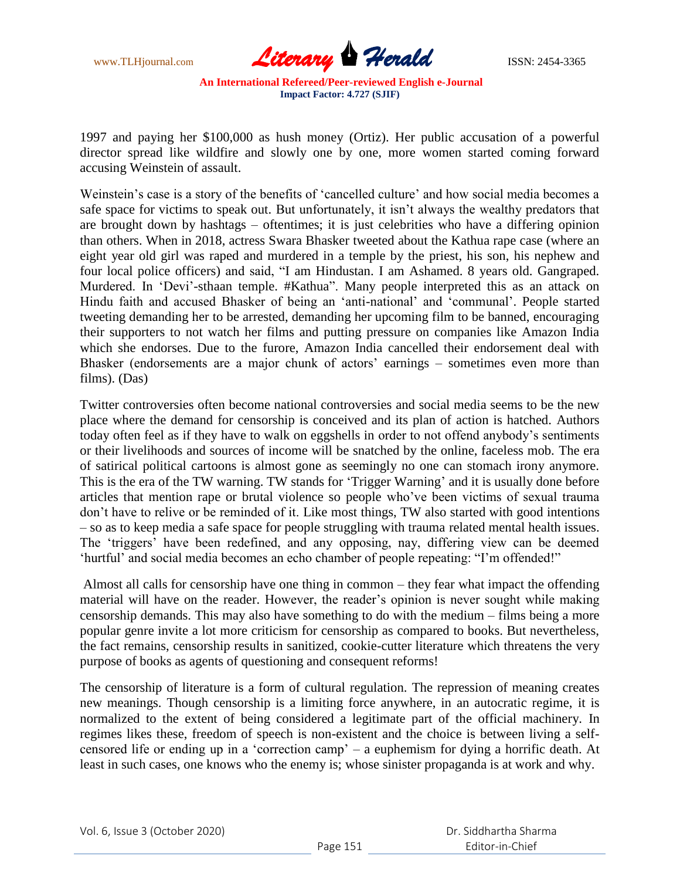

1997 and paying her \$100,000 as hush money (Ortiz). Her public accusation of a powerful director spread like wildfire and slowly one by one, more women started coming forward accusing Weinstein of assault.

Weinstein's case is a story of the benefits of 'cancelled culture' and how social media becomes a safe space for victims to speak out. But unfortunately, it isn"t always the wealthy predators that are brought down by hashtags – oftentimes; it is just celebrities who have a differing opinion than others. When in 2018, actress Swara Bhasker tweeted about the Kathua rape case (where an eight year old girl was raped and murdered in a temple by the priest, his son, his nephew and four local police officers) and said, "I am Hindustan. I am Ashamed. 8 years old. Gangraped. Murdered. In "Devi"-sthaan temple. #Kathua". Many people interpreted this as an attack on Hindu faith and accused Bhasker of being an 'anti-national' and 'communal'. People started tweeting demanding her to be arrested, demanding her upcoming film to be banned, encouraging their supporters to not watch her films and putting pressure on companies like Amazon India which she endorses. Due to the furore, Amazon India cancelled their endorsement deal with Bhasker (endorsements are a major chunk of actors' earnings – sometimes even more than films). (Das)

Twitter controversies often become national controversies and social media seems to be the new place where the demand for censorship is conceived and its plan of action is hatched. Authors today often feel as if they have to walk on eggshells in order to not offend anybody"s sentiments or their livelihoods and sources of income will be snatched by the online, faceless mob. The era of satirical political cartoons is almost gone as seemingly no one can stomach irony anymore. This is the era of the TW warning. TW stands for 'Trigger Warning' and it is usually done before articles that mention rape or brutal violence so people who"ve been victims of sexual trauma don"t have to relive or be reminded of it. Like most things, TW also started with good intentions – so as to keep media a safe space for people struggling with trauma related mental health issues. The 'triggers' have been redefined, and any opposing, nay, differing view can be deemed 'hurtful' and social media becomes an echo chamber of people repeating: "I'm offended!"

Almost all calls for censorship have one thing in common – they fear what impact the offending material will have on the reader. However, the reader"s opinion is never sought while making censorship demands. This may also have something to do with the medium – films being a more popular genre invite a lot more criticism for censorship as compared to books. But nevertheless, the fact remains, censorship results in sanitized, cookie-cutter literature which threatens the very purpose of books as agents of questioning and consequent reforms!

The censorship of literature is a form of cultural regulation. The repression of meaning creates new meanings. Though censorship is a limiting force anywhere, in an autocratic regime, it is normalized to the extent of being considered a legitimate part of the official machinery. In regimes likes these, freedom of speech is non-existent and the choice is between living a selfcensored life or ending up in a "correction camp" – a euphemism for dying a horrific death. At least in such cases, one knows who the enemy is; whose sinister propaganda is at work and why.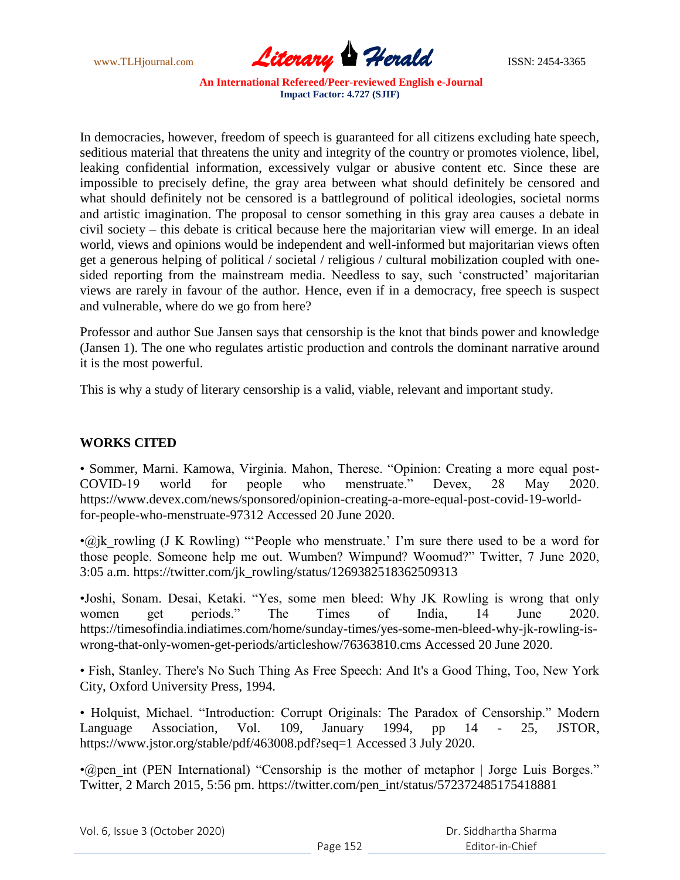

In democracies, however, freedom of speech is guaranteed for all citizens excluding hate speech, seditious material that threatens the unity and integrity of the country or promotes violence, libel, leaking confidential information, excessively vulgar or abusive content etc. Since these are impossible to precisely define, the gray area between what should definitely be censored and what should definitely not be censored is a battleground of political ideologies, societal norms and artistic imagination. The proposal to censor something in this gray area causes a debate in civil society – this debate is critical because here the majoritarian view will emerge. In an ideal world, views and opinions would be independent and well-informed but majoritarian views often get a generous helping of political / societal / religious / cultural mobilization coupled with onesided reporting from the mainstream media. Needless to say, such 'constructed' majoritarian views are rarely in favour of the author. Hence, even if in a democracy, free speech is suspect and vulnerable, where do we go from here?

Professor and author Sue Jansen says that censorship is the knot that binds power and knowledge (Jansen 1). The one who regulates artistic production and controls the dominant narrative around it is the most powerful.

This is why a study of literary censorship is a valid, viable, relevant and important study.

## **WORKS CITED**

• Sommer, Marni. Kamowa, Virginia. Mahon, Therese. "Opinion: Creating a more equal post-COVID-19 world for people who menstruate." Devex, 28 May 2020. https://www.devex.com/news/sponsored/opinion-creating-a-more-equal-post-covid-19-worldfor-people-who-menstruate-97312 Accessed 20 June 2020.

 $\cdot$ @jk\_rowling (J K Rowling) "'People who menstruate.' I'm sure there used to be a word for those people. Someone help me out. Wumben? Wimpund? Woomud?" Twitter, 7 June 2020, 3:05 a.m. https://twitter.com/jk\_rowling/status/1269382518362509313

•Joshi, Sonam. Desai, Ketaki. "Yes, some men bleed: Why JK Rowling is wrong that only women get periods." The Times of India, 14 June 2020. https://timesofindia.indiatimes.com/home/sunday-times/yes-some-men-bleed-why-jk-rowling-iswrong-that-only-women-get-periods/articleshow/76363810.cms Accessed 20 June 2020.

• Fish, Stanley. There's No Such Thing As Free Speech: And It's a Good Thing, Too, New York City, Oxford University Press, 1994.

• Holquist, Michael. "Introduction: Corrupt Originals: The Paradox of Censorship." Modern Language Association, Vol. 109, January 1994, pp 14 - 25, JSTOR, https://www.jstor.org/stable/pdf/463008.pdf?seq=1 Accessed 3 July 2020.

• (apen int (PEN International) "Censorship is the mother of metaphor | Jorge Luis Borges." Twitter, 2 March 2015, 5:56 pm. https://twitter.com/pen\_int/status/572372485175418881